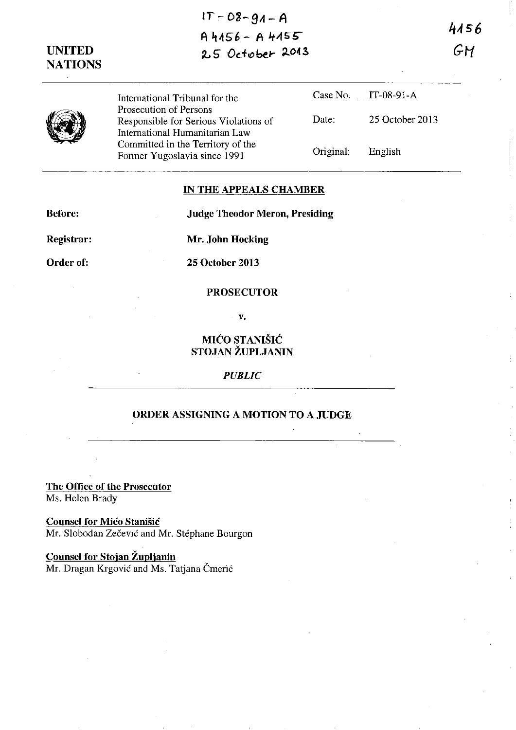# **IT-08-9A-A**   $A 4156 - A 4155$ ~ **S- Od!!) bel-** ~04 *3*

**UNITED NATIONS**  4156 GH



International Tribunal for the Prosecution of Persons Responsible for Serious Violations of International Humanitarian Law Committed in the Territory of the Former Yugoslavia since 1991

|                   | Case No. IT-08-91-A |
|-------------------|---------------------|
| Date:             | 25 October 2013     |
| Original: English |                     |

### **IN THE APPEALS CHAMBER**

**Judge Theodor Meron, Presiding** 

**Before:** 

**Registrar:** 

**Mr. John Hocking** 

**Order of:** 

**25 October 2013** 

### **PROSECUTOR**

v.

**MIĆO STANIŠIĆ STOJAN ZUPLJANIN** 

*PUBLIC* 

## **ORDER ASSIGNING A MOTION TO A JUDGE**

**The Office of the Prosecutor**  Ms. Helen Brady

**Counsel for Mico Stanisic**  Mr. Slobodan Zečević and Mr. Stéphane Bourgon

**Counsel for Stojan Zuplianin**  Mr. Dragan Krgović and Ms. Tatjana Čmerić